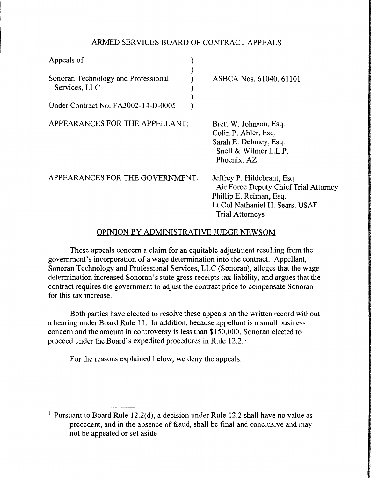# ARMED SERVICES BOARD OF CONTRACT APPEALS

| Appeals of --                                                                               |                                                                                                                                                              |
|---------------------------------------------------------------------------------------------|--------------------------------------------------------------------------------------------------------------------------------------------------------------|
| Sonoran Technology and Professional<br>Services, LLC<br>Under Contract No. FA3002-14-D-0005 | ASBCA Nos. 61040, 61101                                                                                                                                      |
| APPEARANCES FOR THE APPELLANT:                                                              | Brett W. Johnson, Esq.<br>Colin P. Ahler, Esq.<br>Sarah E. Delaney, Esq.<br>Snell & Wilmer L.L.P.<br>Phoenix, AZ                                             |
| APPEARANCES FOR THE GOVERNMENT:                                                             | Jeffrey P. Hildebrant, Esq.<br>Air Force Deputy Chief Trial Attorney<br>Phillip E. Reiman, Esq.<br>Lt Col Nathaniel H. Sears, USAF<br><b>Trial Attorneys</b> |

## OPINION BY ADMINISTRATIVE JUDGE NEWSOM

These appeals concern a claim for an equitable adjustment resulting from the government's incorporation of a wage determination into the contract. Appellant, Sonoran Technology and Professional Services, LLC (Sonoran), alleges that the wage determination increased Sonoran's state gross receipts tax liability, and argues that the contract requires the government to adjust the contract price to compensate Sonoran for this tax increase.

Both parties have elected to resolve these appeals on the written record without a hearing under Board Rule 11. In addition, because appellant is a small business concern and the amount in controversy is less than \$150,000, Sonoran elected to proceed under the Board's expedited procedures in Rule 12.2. <sup>1</sup>

For the reasons explained below, we deny the appeals.

<sup>&</sup>lt;sup>1</sup> Pursuant to Board Rule 12.2(d), a decision under Rule 12.2 shall have no value as precedent, and in the absence of fraud, shall be final and conclusive and may not be appealed or set aside.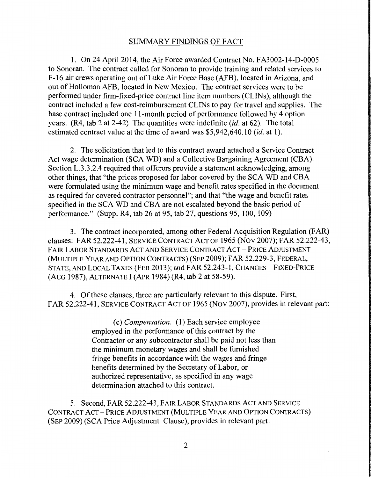## SUMMARY FINDINGS OF FACT

1. On 24 April 2014, the Air Force awarded Contract No. FA3002-14-D-0005 to Sonoran. The contract called for Sonoran to provide training and related services to F-16 air crews operating out of Luke Air Force Base (AFB), located in Arizona, and out of Holloman AFB, located in New Mexico. The contract services were to be performed under firm-fixed-price contract line item numbers (CLINs), although the contract included a few cost-reimbursement CLINs to pay for travel and supplies. The base contract included one 11-month period of performance followed by 4 option years. (R4, tab 2 at 2-42) The quantities were indefinite *(id.* at 62). The total estimated contract value at the time of award was \$5 ,942,640 .10 *(id.* at 1 ).

2. The solicitation that led to this contract award attached a Service Contract Act wage determination (SCA WD) and a Collective Bargaining Agreement (CBA). Section L.3.3.2.4 required that offerors provide a statement acknowledging, among other things, that "the prices proposed for labor covered by the SCA WD and CBA were formulated using the minimum wage and benefit rates specified in the document as required for covered contractor personnel"; and that "the wage and benefit rates specified in the SCA WD and CBA are not escalated beyond the basic period of performance." (Supp. R4, tab 26 at 95, tab 27, questions 95, 100, 109)

3. The contract incorporated, among other Federal Acquisition Regulation (FAR) clauses: FAR 52.222-41, SERVICE CONTRACT ACT OF 1965 (Nov 2007); FAR 52.222-43, FAIR LABOR STANDARDS ACT AND SERVICE CONTRACT ACT- PRICE ADJUSTMENT (MULTIPLE YEAR AND OPTION CONTRACTS) (SEP 2009); FAR 52.229-3, FEDERAL, STATE, AND LOCAL TAXES (FEB 2013); and FAR 52.243-1, CHANGES-FIXED-PRICE (AUG 1987), ALTERNATE I (APR 1984) (R4, tab 2 at 58-59).

4. Of these clauses, three are particularly relevant to this dispute. First, FAR 52.222-41, SERVICE CONTRACT ACT OF 1965 (Nov 2007), provides in relevant part:

> ( c) *Compensation.* (1) Each service employee employed in the performance of this contract by the Contractor or any subcontractor shall be paid not less than the minimum monetary wages and shall be furnished fringe benefits in accordance with the wages and fringe benefits determined by the Secretary of Labor, or authorized representative, as specified in any wage determination attached to this contract.

5. Second, FAR 52.222-43, FAIR LABOR STANDARDS ACT AND SERVICE CONTRACT ACT- PRICE ADJUSTMENT (MULTIPLE YEAR AND OPTION CONTRACTS) (SEP 2009) (SCA Price Adjustment Clause), provides in relevant part: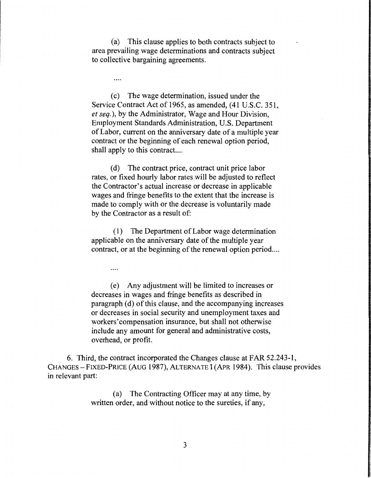(a) This clause applies to both contracts subject to area prevailing wage determinations and contracts subject to collective bargaining agreements.

....

( c) The wage determination, issued under the Service Contract Act of 1965, as amended, (41 U.S.C. 351, *et seq.),* by the Administrator, Wage and Hour Division, Employment Standards Administration, U.S. Department of Labor, current on the anniversary date of a multiple year contract or the beginning of each renewal option period, shall apply to this contract....

(d) The contract price, contract unit price labor rates, or fixed hourly labor rates will be adjusted to reflect the Contractor's actual increase or decrease in applicable wages and fringe benefits to the extent that the increase is made to comply with or the decrease is voluntarily made by the Contractor as a result of:

(I) The Department of Labor wage determination applicable on the anniversary date of the multiple year contract, or at the beginning of the renewal option period....

. . . .

( e) Any adjustment will be limited to increases or decreases in wages and fringe benefits as described in paragraph (d) of this clause, and the accompanying increases or decreases in social security and unemployment taxes and workers'compensation insurance, but shall not otherwise include any amount for general and administrative costs, overhead, or profit.

6. Third, the contract incorporated the Changes clause at FAR 52.243-1, CHANGES - FIXED-PRICE (AUG 1987), ALTERNATE I (APR 1984). This clause provides in relevant part:

> (a) The Contracting Officer may at any time, by written order, and without notice to the sureties, if any,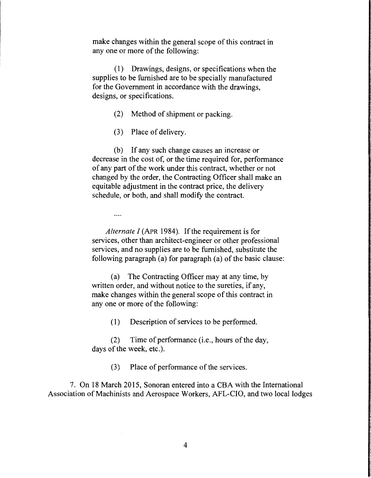make changes within the general scope of this contract in any one or more of the following:

( 1) Drawings, designs, or specifications when the supplies to be furnished are to be specially manufactured for the Government in accordance with the drawings, designs, or specifications.

- (2) Method of shipment or packing.
- (3) Place of delivery.

(b) If any such change causes an increase or decrease in the cost of, or the time required for, performance of any part of the work under this contract, whether or not changed by the order, the Contracting Officer shall make an equitable adjustment in the contract price, the delivery schedule, or both, and shall modify the contract.

....

*Alternate I* (APR 1984). If the requirement is for services, other than architect-engineer or other professional services, and no supplies are to be furnished, substitute the following paragraph (a) for paragraph (a) of the basic clause:

(a) The Contracting Officer may at any time, by written order, and without notice to the sureties, if any, make changes within the general scope of this contract in any one or more of the following:

( 1) Description of services to be performed.

(2) Time of performance (i.e., hours of the day, days of the week, etc.).

(3) Place of performance of the services.

7. On 18 March 2015, Sonoran entered into a CBA with the International Association of Machinists and Aerospace Workers, AFL-CIO, and two local lodges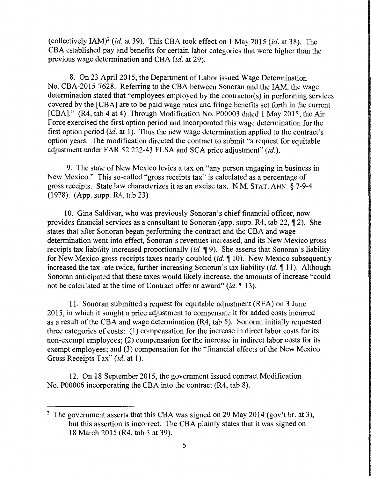(collectively IAM)2 *(id.* at 39). This CBA took effect on 1May2015 *(id.* at 38). The CBA established pay and benefits for certain labor categories that were higher than the previous wage determination and CBA *(id.* at 29).

8. On 23 April 2015, the Department of Labor issued Wage Determination No. CBA-2015-7628. Referring to the CBA between Sonoran and the JAM, the wage determination stated that "employees employed by the contractor(s) in performing services covered by the [CBA] are to be paid wage rates and fringe benefits set forth in the current [CBA]." (R4, tab 4 at 4) Through Modification No. P00003 dated **1** May 2015, the Air Force exercised the first option period and incorporated this wage determination for the first option period *(id.* at 1). Thus the new wage determination applied to the contract's option years. The modification directed the contract to submit "a request for equitable adjustment under FAR 52.222-43 FLSA and SCA price adjustment" *(id.).* 

9. The state of New Mexico levies a tax on "any person engaging in business in New Mexico." This so-called "gross receipts tax" is calculated as a percentage of gross receipts. State law characterizes it as an excise tax. N.M. STAT. ANN.§ 7-9-4 (1978). (App. supp. R4, tab 23)

10. Gina Saldivar, who was previously Sonoran's chief financial officer, now provides financial services as a consultant to Sonoran (app. supp.  $R4$ , tab 22,  $\P$  2). She states that after Sonoran began performing the contract and the CBA and wage determination went into effect, Sonoran's revenues increased, and its New Mexico gross receipts tax liability increased proportionally *(id.* 19). She asserts that Sonoran's liability for New Mexico gross receipts taxes nearly doubled  $(id, \P 10)$ . New Mexico subsequently increased the tax rate twice, further increasing Sonoran's tax liability (id.  $\P$  11). Although Sonoran anticipated that these taxes would likely increase, the amounts of increase "could not be calculated at the time of Contract offer or award" *(id.* 13).

11. Sonoran submitted a request for equitable adjustment (REA) on 3 June 2015, in which it sought a price adjustment to compensate it for added costs incurred as a result of the CBA and wage determination (R4, tab 5). Sonoran initially requested three categories of costs: ( 1) compensation for the increase in direct labor costs for its non-exempt employees; (2) compensation for the increase in indirect labor costs for its exempt employees; and (3) compensation for the "financial effects of the New Mexico Gross Receipts Tax" *(id. at 1).* 

12. On 18 September 2015, the government issued contract Modification No. P00006 incorporating the CBA into the contract (R4, tab 8).

<sup>&</sup>lt;sup>2</sup> The government asserts that this CBA was signed on 29 May 2014 (gov't br. at 3), but this assertion is incorrect. The CBA plainly states that it was signed on 18 March 2015 (R4, tab 3 at 39).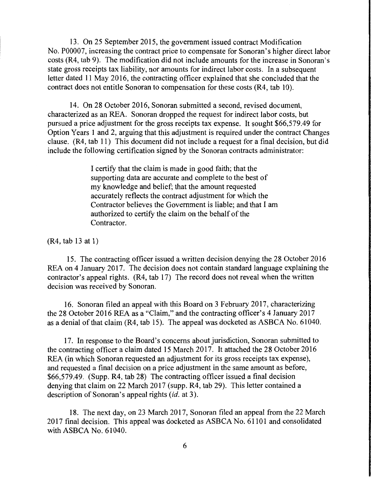13. On 25 September 2015, the government issued contract Modification No. P00007, increasing the contract price to compensate for Sonoran's higher direct labor costs (R4, tab 9). The modification did not include amounts for the increase in Sonoran's state gross receipts tax liability, nor amounts for indirect labor costs. In a subsequent letter dated 11 May 2016, the contracting officer explained that she concluded that the contract does not entitle Sonoran to compensation for these costs (R4, tab 10).

14. On 28 October 2016, Sonoran submitted a second, revised document, characterized as an REA. Sonoran dropped the request for indirect labor costs, but pursued a price adjustment for the gross receipts tax expense. It sought \$66,579.49 for Option Years 1 and 2, arguing that this adjustment is required under the contract Changes clause. (R4, tab 11) This document did not include a request for a final decision, but did include the following certification signed by the Sonoran contracts administrator:

> I certify that the claim is made in good faith; that the supporting data are accurate and complete to the best of my knowledge and belief; that the amount requested accurately reflects the contract adjustment for which the Contractor believes the Government is liable; and that I am authorized to certify the claim on the behalf of the Contractor.

 $(R4, tab 13 at 1)$ 

15. The contracting officer issued a written decision denying the 28 October 2016 REA on 4 January 2017. The decision does not contain standard language explaining the contractor's appeal rights. (R4, tab 17) The record does not reveal when the written decision was received by Sonoran.

16. Sonoran filed an appeal with this Board on 3 February 2017, characterizing the 28 October 2016 REA as a "Claim," and the contracting officer's 4 January 2017 as a denial of that claim (R4, tab 15). The appeal was docketed as ASBCA No. 61040.

17. In response to the Board's concerns about jurisdiction, Sonoran submitted to the contracting officer a claim dated 15 March 2017. It attached the 28 October 2016 REA (in which Sonoran requested an adjustment for its gross receipts tax expense), and requested a final decision on a price adjustment in the same amount as before, \$66,579.49. (Supp. R4, tab 28) The contracting officer issued a final decision denying that claim on 22 March 2017 (supp. R4, tab 29). This letter contained a description of Sonoran's appeal rights *(id.* at 3).

18. The next day, on 23 March 2017, Sonoran filed an appeal from the 22 March 2017 final decision. This appeal was docketed as ASBCA No. 61101 and consolidated with ASBCA No. 61040.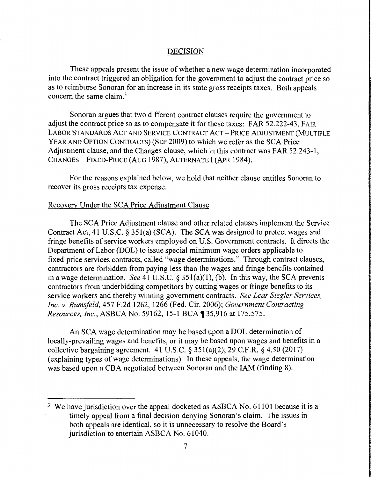#### DECISION

These appeals present the issue of whether a new wage determination incorporated into the contract triggered an obligation for the government to adjust the contract price so as to reimburse Sonoran for an increase in its state gross receipts taxes. Both appeals concern the same claim.<sup>3</sup>

Sonoran argues that two different contract clauses require the government to adjust the contract price so as to compensate it for these taxes: FAR 52.222-43, FAIR LABOR STANDARDS ACT AND SERVICE CONTRACT ACT - PRICE ADJUSTMENT (MULTIPLE YEAR AND OPTION CONTRACTS) (SEP 2009) to which we refer as the SCA Price Adjustment clause, and the Changes clause, which in this contract was FAR 52.243-1, CHANGES - FIXED-PRICE (AUG 1987), ALTERNATE I (APR 1984).

For the reasons explained below, we hold that neither clause entitles Sonoran to recover its gross receipts tax expense.

## Recovery Under the SCA Price Adjustment Clause

The SCA Price Adjustment clause and other related clauses implement the Service Contract Act, 41 U.S.C. § 35l(a) (SCA). The SCA was designed to protect wages and fringe benefits of service workers employed on U.S. Government contracts. It directs the Department of Labor (DOL) to issue special minimum wage orders applicable to fixed-price services contracts, called "wage determinations." Through contract clauses, contractors are forbidden from paying less than the wages and fringe benefits contained in a wage determination. *See* 41 U.S.C. § 35l(a)(l), (b). In this way, the SCA prevents contractors from underbidding competitors by cutting wages or fringe benefits to its service workers and thereby winning government contracts. *See Lear Siegler Services, Inc. v. Rumsfeld,* 457 F.2d 1262, 1266 (Fed. Cir. 2006); *Government Contracting Resources, Inc., ASBCA No. 59162, 15-1 BCA* 135,916 at 175,575.

An SCA wage determination may be based upon a DOL determination of locally-prevailing wages and benefits, or it may be based upon wages and benefits in a collective bargaining agreement. 41 U.S.C.  $\S 351(a)(2)$ ; 29 C.F.R.  $\S 4.50(2017)$ (explaining types of wage determinations). In these appeals, the wage determination was based upon a CBA negotiated between Sonoran and the IAM (finding 8).

<sup>&</sup>lt;sup>3</sup> We have jurisdiction over the appeal docketed as ASBCA No. 61101 because it is a timely appeal from a final decision denying Sonoran's claim. The issues in both appeals are identical, so it is unnecessary to resolve the Board's jurisdiction to entertain ASBCA No. 61040.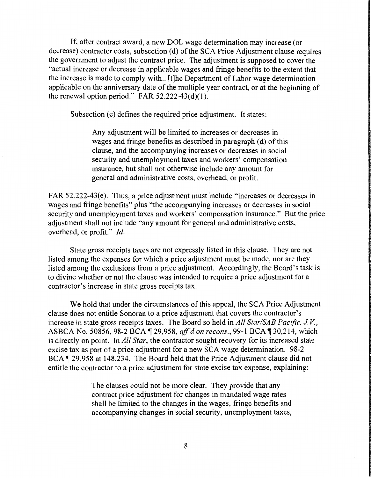If, after contract award, a new DOL wage determination may increase (or decrease) contractor costs, subsection (d) of the SCA Price Adjustment clause requires the government to adjust the contract price. The adjustment is supposed to cover the "actual increase or decrease in applicable wages and fringe benefits to the extent that the increase is made to comply with ... [t]he Department of Labor wage determination applicable on the anniversary date of the multiple year contract, or at the beginning of the renewal option period." FAR  $52.222-43(d)(1)$ .

Subsection (e) defines the required price adjustment. It states:

Any adjustment will be limited to increases or decreases in wages and fringe benefits as described in paragraph (d) of this clause, and the accompanying increases or decreases in social security and unemployment taxes and workers' compensation insurance, but shall not otherwise include any amount for general and administrative costs, overhead, or profit.

FAR 52.222-43(e). Thus, a price adjustment must include "increases or decreases in wages and fringe benefits" plus "the accompanying increases or decreases in social security and unemployment taxes and workers' compensation insurance." But the price adjustment shall not include "any amount for general and administrative costs, overhead, or profit." *Id.* 

State gross receipts taxes are not expressly listed in this clause. They are not listed among the expenses for which a price adjustment must be made, nor are they listed among the exclusions from a price adjustment. Accordingly, the Board's task is to divine whether or not the clause was intended to require a price adjustment for a contractor's increase in state gross receipts tax.

We hold that under the circumstances of this appeal, the SCA Price Adjustment clause does not entitle Sonoran to a price adjustment that covers the contractor's increase in state gross receipts taxes. The Board so held in *All Star/SAB Pacific, JV.,*  ASBCA No. 50856, 98-2 BCA 1 29,958, *aff'd on recons.*, 99-1 BCA 1 30,214, which is directly on point. In *All Star,* the contractor sought recovery for its increased state excise tax as part of a price adjustment for a new SCA wage determination. 98-2 BCA ¶ 29,958 at 148,234. The Board held that the Price Adjustment clause did not entitle the contractor to a price adjustment for state excise tax expense, explaining:

> The clauses could not be more clear. They provide that any contract price adjustment for changes in mandated wage rates shall be limited to the changes in the wages, fringe benefits and accompanying changes in social security, unemployment taxes,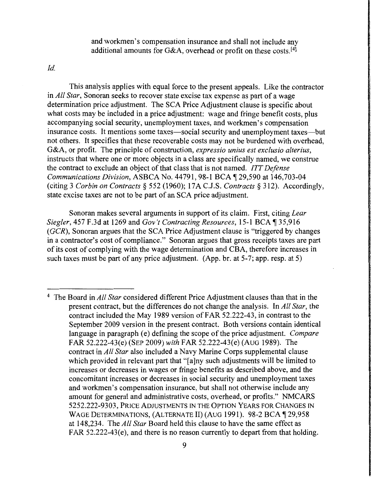and workmen's compensation insurance and shall not include any additional amounts for G&A, overhead or profit on these costs.<sup>[4]</sup>

*Id.* 

This analysis applies with equal force to the present appeals. Like the contractor in *All Star,* Sonoran seeks to recover state excise tax expense as part of a wage determination price adjustment. The SCA Price Adjustment clause is specific about what costs may be included in a price adjustment: wage and fringe benefit costs, plus accompanying social security, unemployment taxes, and workmen's compensation insurance costs. It mentions some taxes—social security and unemployment taxes—but not others. It specifies that these recoverable costs may not be burdened with overhead, G&A, or profit. The principle of construction, *expressio unius est exclusio alterius,*  instructs that where one or more objects in a class are specifically named, we construe the contract to exclude an object of that class that is not named. *ITT Defense Communications Division, ASBCA No.* 44791, 98-1 BCA ¶ 29,590 at 146,703-04 (citing 3 *Corbin on Contracts§* 552 (1960); 17A C.J.S. *Contracts§* 312). Accordingly, state excise taxes are not to be part of an SCA price adjustment.

Sonoran makes several arguments in support of its claim. First, citing *Lear Siegler, 457 F.3d at 1269 and Gov't Contracting Resources, 15-1 BCA* 135,916 ( *GCR),* Sonoran argues that the SCA Price Adjustment clause is "triggered by changes in a contractor's cost of compliance." Sonoran argues that gross receipts taxes are part of its cost of complying with the wage determination and CBA, therefore increases in such taxes must be part of any price adjustment. (App. br. at 5-7; app. resp. at 5)

<sup>4</sup> The Board in *All Star* considered different Price Adjustment clauses than that in the present contract, but the differences do not change the analysis. In *All Star,* the contract included the May 1989 version of FAR 52.222-43, in contrast to the September 2009 version in the present contract. Both versions contain identical language in paragraph (e) defining the scope of the price adjustment. *Compare*  FAR 52.222-43(e) (SEP 2009) *with* FAR 52.222-43(e) (AUG 1989). The contract in *All Star* also included a Navy Marine Corps supplemental clause which provided in relevant part that "[a]ny such adjustments will be limited to increases or decreases in wages or fringe benefits as described above, and the concomitant increases or decreases in social security and unemployment taxes and workmen's compensation insurance, but shall not otherwise include any amount for general and administrative costs, overhead, or profits." NMCARS 5252.222-9303, PRICE ADJUSTMENTS IN THE OPTION YEARS FOR CHANGES IN WAGE DETERMINATIONS, (ALTERNATE II) (AUG 1991). 98-2 BCA 129,958 at 148,234. The *All Star* Board held this clause to have the same effect as FAR 52.222-43(e), and there is no reason currently to depart from that holding.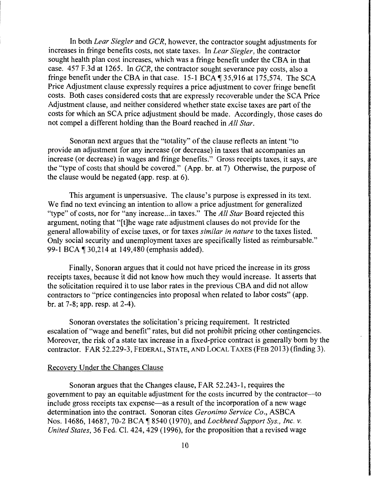In both *Lear Siegler* and *GCR,* however, the contractor sought adjustments for increases in fringe benefits costs, not state taxes. In *Lear Siegler,* the contractor sought health plan cost increases, which was a fringe benefit under the CBA in that case. 457 F.3d at 1265. In *GCR,* the contractor sought severance pay costs, also a fringe benefit under the CBA in that case.  $15-1$  BCA  $\parallel$  35,916 at 175,574. The SCA Price Adjustment clause expressly requires a price adjustment to cover fringe benefit costs. Both cases considered costs that are expressly recoverable under the SCA Price Adjustment clause, and neither considered whether state excise taxes are part of the costs for which an SCA price adjustment should be made. Accordingly, those cases do not compel a different holding than the Board reached in *All Star.* 

Sonoran next argues that the "totality" of the clause reflects an intent "to provide an adjustment for any increase (or decrease) in taxes that accompanies an increase (or decrease) in wages and fringe benefits." Gross receipts taxes, it says, are the "type of costs that should be covered." (App. br. at 7) Otherwise, the purpose of the clause would be negated (app. resp. at 6).

This argument is unpersuasive. The clause's purpose is expressed in its text. We find no text evincing an intention to allow a price adjustment for generalized "type" of costs, nor for "any increase .. .in taxes." The *All Star* Board rejected this argument, noting that "[t]he wage rate adjustment clauses do not provide for the general allowability of excise taxes, or for taxes *similar in nature* to the taxes listed. Only social security and unemployment taxes are specifically listed as reimbursable." 99-1 BCA ¶ 30,214 at 149,480 (emphasis added).

Finally, Sonoran argues that it could not have priced the increase in its gross receipts taxes, because it did not know how much they would increase. It asserts that the solicitation required it to use labor rates in the previous CBA and did not allow contractors to "price contingencies into proposal when related to labor costs" (app. br. at 7-8; app. resp. at 2-4).

Sonoran overstates the solicitation's pricing requirement. It restricted escalation of "wage and benefit" rates, but did not prohibit pricing other contingencies. Moreover, the risk of a state tax increase in a fixed-price contract is generally born by the contractor. FAR 52.229-3, FEDERAL, STATE, AND LOCAL TAXES (FEB 2013) (finding 3).

### Recovery Under the Changes Clause

Sonoran argues that the Changes clause, FAR 52.243-1, requires the government to pay an equitable adjustment for the costs incurred by the contractor-to include gross receipts tax expense—as a result of the incorporation of a new wage determination into the contract. Sonoran cites *Geronimo Service Co.,* ASBCA Nos. 14686, 14687, 70-2 BCA ¶ 8540 (1970), and *Lockheed Support Sys., Inc. v. United States,* 36 Fed. Cl. 424, 429 (1996), for the proposition that a revised wage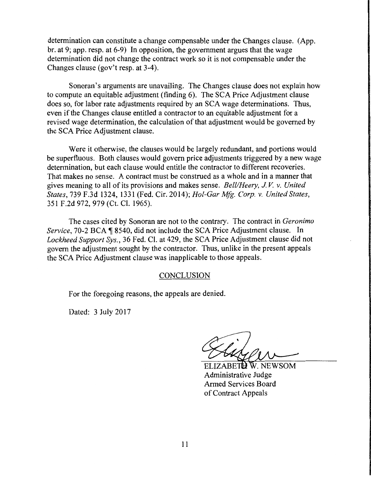determination can constitute a change compensable under the Changes clause. (App. br. at 9; app. resp. at 6-9) In opposition, the government argues that the wage determination did not change the contract work so it is not compensable under the Changes clause (gov't resp. at 3-4).

Sonoran's arguments are unavailing. The Changes clause does not explain how to compute an equitable adjustment (finding 6). The SCA Price Adjustment clause does so, for labor rate adjustments required by an SCA wage determinations. Thus, even if the Changes clause entitled a contractor to an equitable adjustment for a revised wage determination, the calculation of that adjustment would be governed by the SCA Price Adjustment clause.

Were it otherwise, the clauses would be largely redundant, and portions would be superfluous. Both clauses would govern price adjustments triggered by a new wage determination, but each clause would entitle the contractor to different recoveries. That makes no sense. A contract must be construed as a whole and in a manner that gives meaning to all of its provisions and makes sense. *Bell/Heery, JV. v. United States,* 739 F.3d 1324, 1331 (Fed. Cir. 2014); *Hol-Gar Mfg. Corp. v. United States,*  351F.2d972, 979 (Ct. Cl. 1965).

The cases cited by Sonoran are not to the contrary. The contract in *Geronimo Service, 70-2 BCA* 18540, did not include the SCA Price Adjustment clause. In *Lockheed Support Sys.,* 36 Fed. Cl. at 429, the SCA Price Adjustment clause did not govern the adjustment sought by the contractor. Thus, unlike in the present appeals the SCA Price Adjustment clause was inapplicable to those appeals.

#### **CONCLUSION**

For the foregoing reasons, the appeals are denied.

Dated: 3 July 2017

ELIZABETH W. NEWSOM Administrative Judge Armed Services Board of Contract Appeals